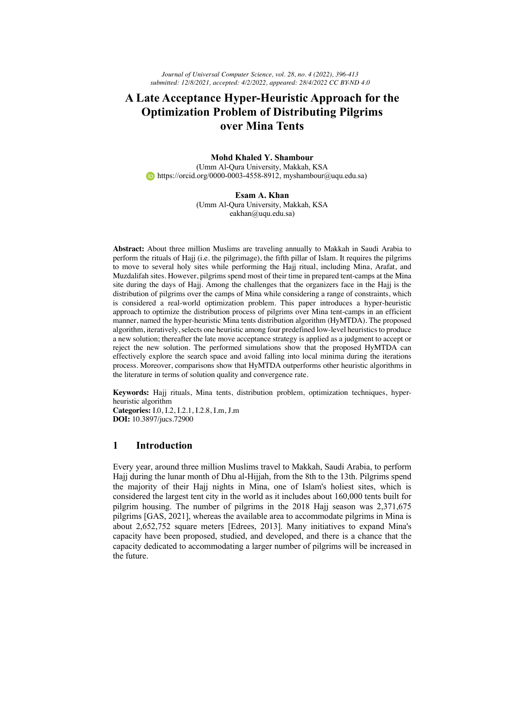*Journal of Universal Computer Science, vol. 28, no. 4 (2022), 396-413 submitted: 12/8/2021, accepted: 4/2/2022, appeared: 28/4/2022 CC BY-ND 4.0*

# **A Late Acceptance Hyper-Heuristic Approach for the Optimization Problem of Distributing Pilgrims over Mina Tents**

**Mohd Khaled Y. Shambour**  (Umm Al-Qura University, Makkah, KSA  $\bullet$  https://orcid.org/0000-0003-4558-8912, myshambour@uqu.edu.sa)

> **Esam A. Khan** (Umm Al-Qura University, Makkah, KSA eakhan@uqu.edu.sa)

**Abstract:** About three million Muslims are traveling annually to Makkah in Saudi Arabia to perform the rituals of Hajj (i.e. the pilgrimage), the fifth pillar of Islam. It requires the pilgrims to move to several holy sites while performing the Hajj ritual, including Mina, Arafat, and Muzdalifah sites. However, pilgrims spend most of their time in prepared tent-camps at the Mina site during the days of Hajj. Among the challenges that the organizers face in the Hajj is the distribution of pilgrims over the camps of Mina while considering a range of constraints, which is considered a real-world optimization problem. This paper introduces a hyper-heuristic approach to optimize the distribution process of pilgrims over Mina tent-camps in an efficient manner, named the hyper-heuristic Mina tents distribution algorithm (HyMTDA). The proposed algorithm, iteratively, selects one heuristic among four predefined low-level heuristics to produce a new solution; thereafter the late move acceptance strategy is applied as a judgment to accept or reject the new solution. The performed simulations show that the proposed HyMTDA can effectively explore the search space and avoid falling into local minima during the iterations process. Moreover, comparisons show that HyMTDA outperforms other heuristic algorithms in the literature in terms of solution quality and convergence rate.

**Keywords:** Hajj rituals, Mina tents, distribution problem, optimization techniques, hyperheuristic algorithm

**Categories:** I.0, I.2, I.2.1, I.2.8, I.m, J.m **DOI:** 10.3897/jucs.72900

# **1 Introduction**

Every year, around three million Muslims travel to Makkah, Saudi Arabia, to perform Hajj during the lunar month of Dhu al-Hijjah, from the 8th to the 13th. Pilgrims spend the majority of their Hajj nights in Mina, one of Islam's holiest sites, which is considered the largest tent city in the world as it includes about 160,000 tents built for pilgrim housing. The number of pilgrims in the 2018 Hajj season was 2,371,675 pilgrims [GAS, 2021], whereas the available area to accommodate pilgrims in Mina is about 2,652,752 square meters [Edrees, 2013]. Many initiatives to expand Mina's capacity have been proposed, studied, and developed, and there is a chance that the capacity dedicated to accommodating a larger number of pilgrims will be increased in the future.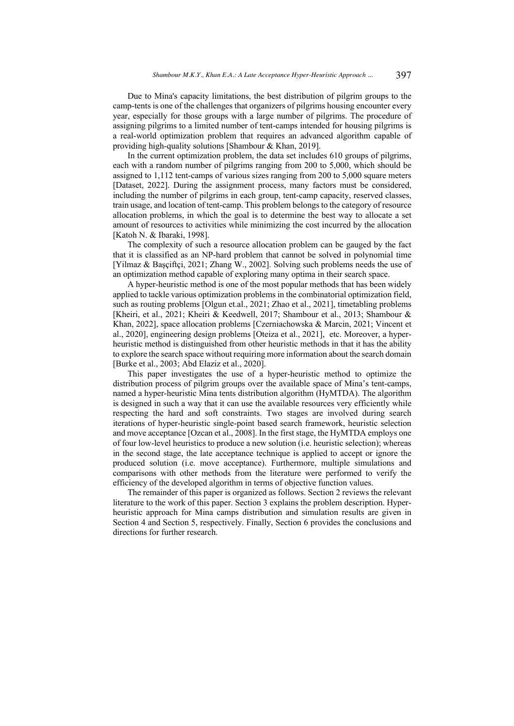Due to Mina's capacity limitations, the best distribution of pilgrim groups to the camp-tents is one of the challenges that organizers of pilgrims housing encounter every year, especially for those groups with a large number of pilgrims. The procedure of assigning pilgrims to a limited number of tent-camps intended for housing pilgrims is a real-world optimization problem that requires an advanced algorithm capable of providing high-quality solutions [Shambour & Khan, 2019].

In the current optimization problem, the data set includes 610 groups of pilgrims, each with a random number of pilgrims ranging from 200 to 5,000, which should be assigned to 1,112 tent-camps of various sizes ranging from 200 to 5,000 square meters [Dataset, 2022]. During the assignment process, many factors must be considered, including the number of pilgrims in each group, tent-camp capacity, reserved classes, train usage, and location of tent-camp. This problem belongs to the category of resource allocation problems, in which the goal is to determine the best way to allocate a set amount of resources to activities while minimizing the cost incurred by the allocation [Katoh N. & Ibaraki, 1998].

The complexity of such a resource allocation problem can be gauged by the fact that it is classified as an NP-hard problem that cannot be solved in polynomial time [Yilmaz & Başçiftçi, 2021; Zhang W., 2002]. Solving such problems needs the use of an optimization method capable of exploring many optima in their search space.

A hyper-heuristic method is one of the most popular methods that has been widely applied to tackle various optimization problems in the combinatorial optimization field, such as routing problems [Olgun et.al., 2021; Zhao et al., 2021], timetabling problems [Kheiri, et al., 2021; Kheiri & Keedwell, 2017; Shambour et al., 2013; Shambour & Khan, 2022], space allocation problems [Czerniachowska & Marcin, 2021; Vincent et al., 2020], engineering design problems [Oteiza et al., 2021], etc. Moreover, a hyperheuristic method is distinguished from other heuristic methods in that it has the ability to explore the search space without requiring more information about the search domain [Burke et al., 2003; Abd Elaziz et al., 2020].

This paper investigates the use of a hyper-heuristic method to optimize the distribution process of pilgrim groups over the available space of Mina's tent-camps, named a hyper-heuristic Mina tents distribution algorithm (HyMTDA). The algorithm is designed in such a way that it can use the available resources very efficiently while respecting the hard and soft constraints. Two stages are involved during search iterations of hyper-heuristic single-point based search framework, heuristic selection and move acceptance [Ozcan et al., 2008]. In the first stage, the HyMTDA employs one of four low-level heuristics to produce a new solution (i.e. heuristic selection); whereas in the second stage, the late acceptance technique is applied to accept or ignore the produced solution (i.e. move acceptance). Furthermore, multiple simulations and comparisons with other methods from the literature were performed to verify the efficiency of the developed algorithm in terms of objective function values.

The remainder of this paper is organized as follows. Section 2 reviews the relevant literature to the work of this paper. Section 3 explains the problem description. Hyperheuristic approach for Mina camps distribution and simulation results are given in Section 4 and Section 5, respectively. Finally, Section 6 provides the conclusions and directions for further research.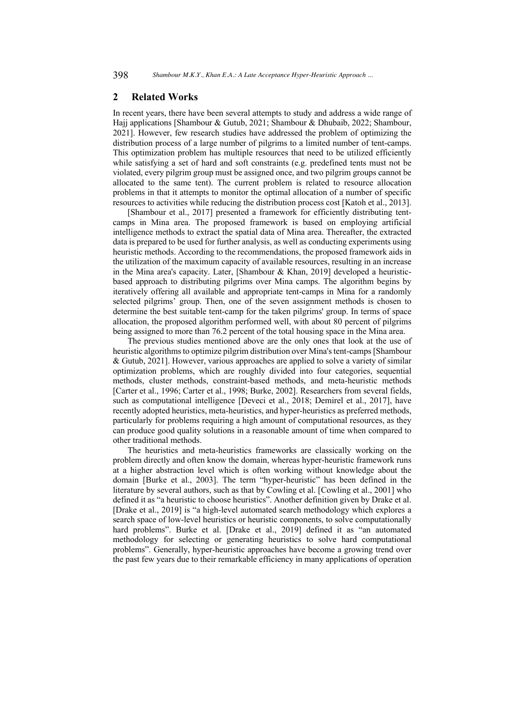# **2 Related Works**

In recent years, there have been several attempts to study and address a wide range of Hajj applications [Shambour & Gutub, 2021; Shambour & Dhubaib, 2022; Shambour, 2021]. However, few research studies have addressed the problem of optimizing the distribution process of a large number of pilgrims to a limited number of tent-camps. This optimization problem has multiple resources that need to be utilized efficiently while satisfying a set of hard and soft constraints (e.g. predefined tents must not be violated, every pilgrim group must be assigned once, and two pilgrim groups cannot be allocated to the same tent). The current problem is related to resource allocation problems in that it attempts to monitor the optimal allocation of a number of specific resources to activities while reducing the distribution process cost [Katoh et al., 2013].

[Shambour et al., 2017] presented a framework for efficiently distributing tentcamps in Mina area. The proposed framework is based on employing artificial intelligence methods to extract the spatial data of Mina area. Thereafter, the extracted data is prepared to be used for further analysis, as well as conducting experiments using heuristic methods. According to the recommendations, the proposed framework aids in the utilization of the maximum capacity of available resources, resulting in an increase in the Mina area's capacity. Later, [Shambour & Khan, 2019] developed a heuristicbased approach to distributing pilgrims over Mina camps. The algorithm begins by iteratively offering all available and appropriate tent-camps in Mina for a randomly selected pilgrims' group. Then, one of the seven assignment methods is chosen to determine the best suitable tent-camp for the taken pilgrims' group. In terms of space allocation, the proposed algorithm performed well, with about 80 percent of pilgrims being assigned to more than 76.2 percent of the total housing space in the Mina area.

The previous studies mentioned above are the only ones that look at the use of heuristic algorithms to optimize pilgrim distribution over Mina's tent-camps[Shambour & Gutub, 2021]. However, various approaches are applied to solve a variety of similar optimization problems, which are roughly divided into four categories, sequential methods, cluster methods, constraint-based methods, and meta-heuristic methods [Carter et al., 1996; Carter et al., 1998; Burke, 2002]. Researchers from several fields, such as computational intelligence [Deveci et al., 2018; Demirel et al., 2017], have recently adopted heuristics, meta-heuristics, and hyper-heuristics as preferred methods, particularly for problems requiring a high amount of computational resources, as they can produce good quality solutions in a reasonable amount of time when compared to other traditional methods.

The heuristics and meta-heuristics frameworks are classically working on the problem directly and often know the domain, whereas hyper-heuristic framework runs at a higher abstraction level which is often working without knowledge about the domain [Burke et al., 2003]. The term "hyper-heuristic" has been defined in the literature by several authors, such as that by Cowling et al. [Cowling et al., 2001] who defined it as "a heuristic to choose heuristics". Another definition given by Drake et al. [Drake et al., 2019] is "a high-level automated search methodology which explores a search space of low-level heuristics or heuristic components, to solve computationally hard problems". Burke et al. [Drake et al., 2019] defined it as "an automated methodology for selecting or generating heuristics to solve hard computational problems". Generally, hyper-heuristic approaches have become a growing trend over the past few years due to their remarkable efficiency in many applications of operation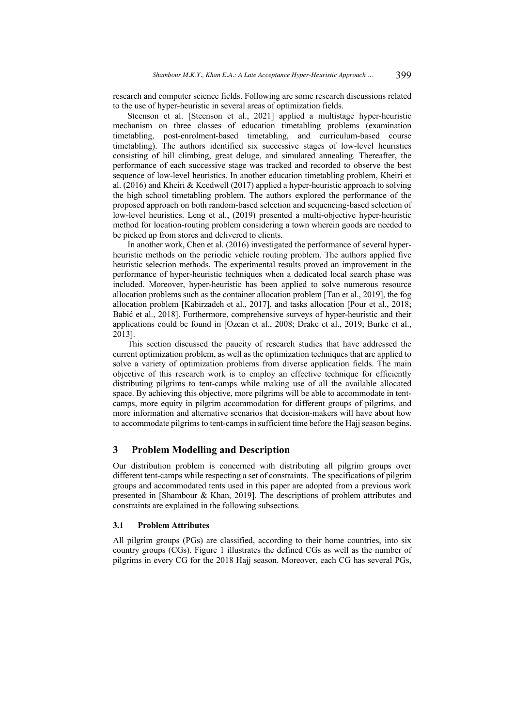research and computer science fields. Following are some research discussions related to the use of hyper-heuristic in several areas of optimization fields.

Steenson et al. [Steenson et al., 2021] applied a multistage hyper-heuristic mechanism on three classes of education timetabling problems (examination timetabling, post-enrolment-based timetabling, and curriculum-based course timetabling). The authors identified six successive stages of low-level heuristics consisting of hill climbing, great deluge, and simulated annealing. Thereafter, the performance of each successive stage was tracked and recorded to observe the best sequence of low-level heuristics. In another education timetabling problem, Kheiri et al. (2016) and Kheiri & Keedwell (2017) applied a hyper-heuristic approach to solving the high school timetabling problem. The authors explored the performance of the proposed approach on both random-based selection and sequencing-based selection of low-level heuristics. Leng et al., (2019) presented a multi-objective hyper-heuristic method for location-routing problem considering a town wherein goods are needed to be picked up from stores and delivered to clients.

In another work, Chen et al. (2016) investigated the performance of several hyperheuristic methods on the periodic vehicle routing problem. The authors applied five heuristic selection methods. The experimental results proved an improvement in the performance of hyper-heuristic techniques when a dedicated local search phase was included. Moreover, hyper-heuristic has been applied to solve numerous resource allocation problems such as the container allocation problem [Tan et al., 2019], the fog allocation problem [Kabirzadeh et al., 2017], and tasks allocation [Pour et al., 2018; Babić et al., 2018]. Furthermore, comprehensive surveys of hyper-heuristic and their applications could be found in [Ozcan et al., 2008; Drake et al., 2019; Burke et al., 2013].

This section discussed the paucity of research studies that have addressed the current optimization problem, as well as the optimization techniques that are applied to solve a variety of optimization problems from diverse application fields. The main objective of this research work is to employ an effective technique for efficiently distributing pilgrims to tent-camps while making use of all the available allocated space. By achieving this objective, more pilgrims will be able to accommodate in tentcamps, more equity in pilgrim accommodation for different groups of pilgrims, and more information and alternative scenarios that decision-makers will have about how to accommodate pilgrims to tent-camps in sufficient time before the Hajj season begins.

# **3 Problem Modelling and Description**

Our distribution problem is concerned with distributing all pilgrim groups over different tent-camps while respecting a set of constraints. The specifications of pilgrim groups and accommodated tents used in this paper are adopted from a previous work presented in [Shambour & Khan, 2019]. The descriptions of problem attributes and constraints are explained in the following subsections.

### **3.1 Problem Attributes**

All pilgrim groups (PGs) are classified, according to their home countries, into six country groups (CGs). Figure 1 illustrates the defined CGs as well as the number of pilgrims in every CG for the 2018 Hajj season. Moreover, each CG has several PGs,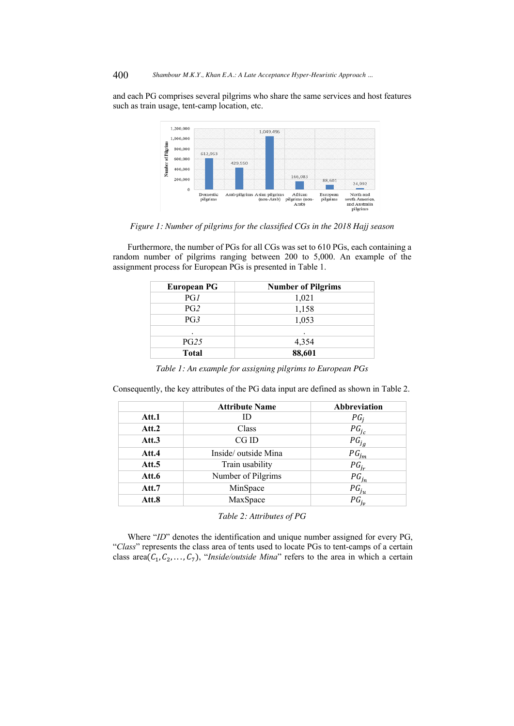and each PG comprises several pilgrims who share the same services and host features such as train usage, tent-camp location, etc.



*Figure 1: Number of pilgrims for the classified CGs in the 2018 Hajj season*

Furthermore, the number of PGs for all CGs was set to 610 PGs, each containing a random number of pilgrims ranging between 200 to 5,000. An example of the assignment process for European PGs is presented in Table 1.

| European PG     | <b>Number of Pilgrims</b> |
|-----------------|---------------------------|
| PG1             | 1,021                     |
| PG <sub>2</sub> | 1,158                     |
| PG3             | 1,053                     |
| ٠               |                           |
| PG25            | 4,354                     |
| <b>Total</b>    | 88,601                    |

*Table 1: An example for assigning pilgrims to European PGs*

Consequently, the key attributes of the PG data input are defined as shown in Table 2.

|       | <b>Attribute Name</b> | Abbreviation |
|-------|-----------------------|--------------|
| Att.1 | ID                    | $PG_i$       |
| Att.2 | Class                 | $PG_{i_c}$   |
| Att.3 | CGID                  | $PG_{j_q}$   |
| Att.4 | Inside/outside Mina   | $PG_{jm}$    |
| Att.5 | Train usability       | $PG_{i_r}$   |
| Att.6 | Number of Pilgrims    | $PG_{j_n}$   |
| Att.7 | MinSpace              | $PG_{j_u}$   |
| Att.8 | MaxSpace              | $PG_{j_{v}}$ |

*Table 2: Attributes of PG*

Where "*ID*" denotes the identification and unique number assigned for every PG, "*Class*" represents the class area of tents used to locate PGs to tent-camps of a certain class area $(C_1, C_2, ..., C_7)$ , "*Inside/outside Mina*" refers to the area in which a certain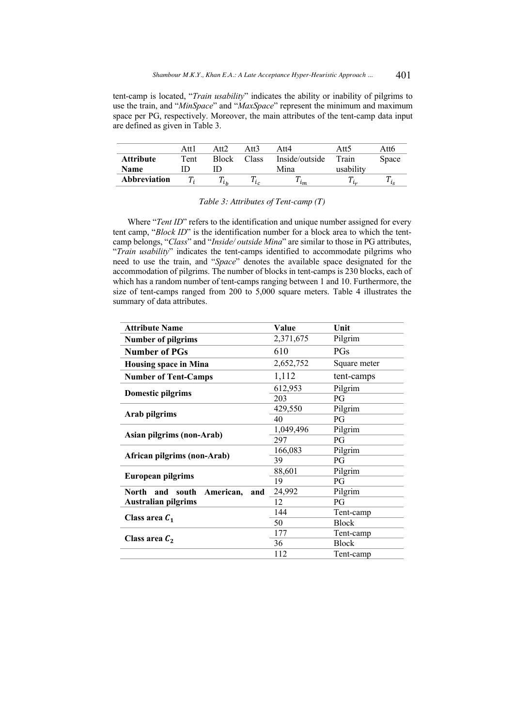tent-camp is located, "*Train usability*" indicates the ability or inability of pilgrims to use the train, and "*MinSpace*" and "*MaxSpace*" represent the minimum and maximum space per PG, respectively. Moreover, the main attributes of the tent-camp data input are defined as given in Table 3.

|                     | Att l | Att2         | Att3    | Att4           | Att5      | Att6  |
|---------------------|-------|--------------|---------|----------------|-----------|-------|
| <b>Attribute</b>    | Tent  | <b>Block</b> | Class   | Inside/outside | Train     | Space |
| <b>Name</b>         |       |              |         | Mina           | usability |       |
| <b>Abbreviation</b> |       | $\iota_h$    | $\iota$ | $\iota_m$      |           |       |

*Table 3: Attributes of Tent-camp (T)*

Where "*Tent ID*" refers to the identification and unique number assigned for every tent camp, "*Block ID*" is the identification number for a block area to which the tentcamp belongs, "*Class*" and "*Inside/ outside Mina*" are similar to those in PG attributes, "*Train usability*" indicates the tent-camps identified to accommodate pilgrims who need to use the train, and "*Space*" denotes the available space designated for the accommodation of pilgrims. The number of blocks in tent-camps is 230 blocks, each of which has a random number of tent-camps ranging between 1 and 10. Furthermore, the size of tent-camps ranged from 200 to 5,000 square meters. Table 4 illustrates the summary of data attributes.

| <b>Attribute Name</b>                     | Value     | Unit         |
|-------------------------------------------|-----------|--------------|
| <b>Number of pilgrims</b>                 | 2,371,675 | Pilgrim      |
| <b>Number of PGs</b>                      | 610       | PGs          |
| <b>Housing space in Mina</b>              | 2,652,752 | Square meter |
| <b>Number of Tent-Camps</b>               | 1,112     | tent-camps   |
|                                           | 612,953   | Pilgrim      |
| <b>Domestic pilgrims</b>                  | 203       | PG           |
|                                           | 429,550   | Pilgrim      |
| Arab pilgrims                             | 40        | PG           |
|                                           | 1,049,496 | Pilgrim      |
| Asian pilgrims (non-Arab)                 | 297       | PG           |
|                                           | 166,083   | Pilgrim      |
| African pilgrims (non-Arab)               | 39        | PG           |
|                                           | 88,601    | Pilgrim      |
| <b>European pilgrims</b>                  | 19        | PG           |
| American,<br>North<br>south<br>and<br>and | 24,992    | Pilgrim      |
| <b>Australian pilgrims</b>                | 12        | PG           |
| Class area $C_1$                          | 144       | Tent-camp    |
|                                           | 50        | <b>Block</b> |
|                                           | 177       | Tent-camp    |
| Class area $C_2$                          | 36        | <b>Block</b> |
|                                           | 112       | Tent-camp    |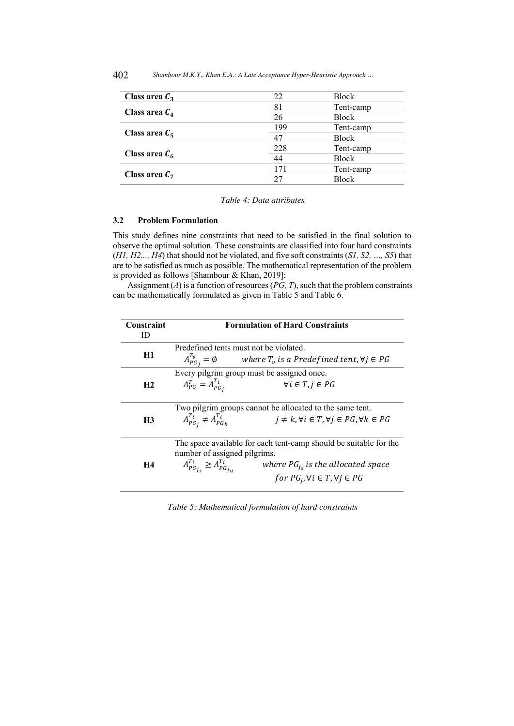| Class area $C_3$ | 22  | Block        |
|------------------|-----|--------------|
|                  | 81  | Tent-camp    |
| Class area $C_4$ | 26  | <b>Block</b> |
| Class area $C_5$ | 199 | Tent-camp    |
|                  | 47  | <b>Block</b> |
| Class area $C_6$ | 228 | Tent-camp    |
|                  | 44  | <b>Block</b> |
| Class area $C_7$ | 171 | Tent-camp    |
|                  | 27  | <b>Block</b> |

*Table 4: Data attributes*

#### **3.2 Problem Formulation**

This study defines nine constraints that need to be satisfied in the final solution to observe the optimal solution. These constraints are classified into four hard constraints (*H1, H2..., H4*) that should not be violated, and five soft constraints (*S1, S2, …, S5*) that are to be satisfied as much as possible. The mathematical representation of the problem is provided as follows [Shambour & Khan, 2019]:

Assignment (*A*) is a function of resources (*PG, T*), such that the problem constraints can be mathematically formulated as given in Table 5 and Table 6.

| Constraint<br>ID | <b>Formulation of Hard Constraints</b>                                                                                                                                                                                                           |  |  |  |  |  |  |  |
|------------------|--------------------------------------------------------------------------------------------------------------------------------------------------------------------------------------------------------------------------------------------------|--|--|--|--|--|--|--|
| H1               | Predefined tents must not be violated.<br>$A_{PG_i}^{I_v} = \emptyset$ where $T_v$ is a Predefined tent, $\forall j \in PG$                                                                                                                      |  |  |  |  |  |  |  |
| H <sub>2</sub>   | Every pilgrim group must be assigned once.<br>$A_{PG}^T = A_{PG_i}^{T_i}$<br>$\forall i \in T, j \in PG$                                                                                                                                         |  |  |  |  |  |  |  |
| H <sub>3</sub>   | Two pilgrim groups cannot be allocated to the same tent.<br>$A_{PG_i}^{T_i} \neq A_{PG_k}^{T_i}$<br>$j \neq k, \forall i \in T, \forall j \in PG, \forall k \in PG$                                                                              |  |  |  |  |  |  |  |
| H4               | The space available for each tent-camp should be suitable for the<br>number of assigned pilgrims.<br>$A_{PG_{i_s}}^{T_i} \geq A_{PG_{i_u}}^{T_i}$<br>where $PG_{i_s}$ is the allocated space<br>for $PG_i$ , $\forall i \in T, \forall j \in PG$ |  |  |  |  |  |  |  |

*Table 5: Mathematical formulation of hard constraints*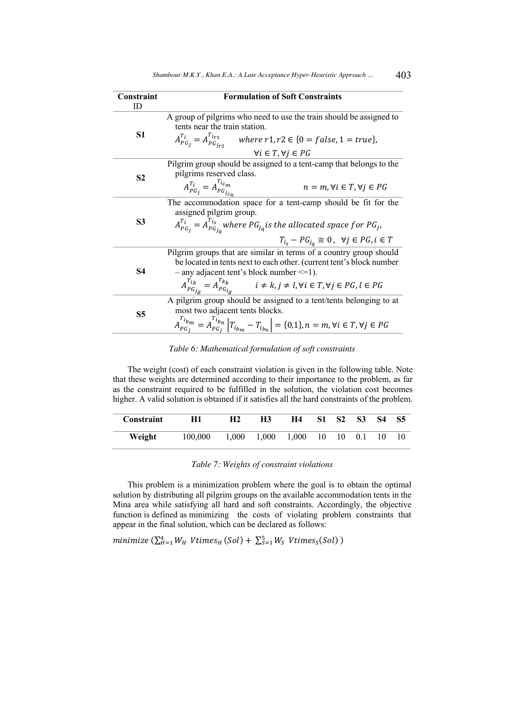| Constraint     | <b>Formulation of Soft Constraints</b>                                                                                        |  |  |  |  |  |
|----------------|-------------------------------------------------------------------------------------------------------------------------------|--|--|--|--|--|
| ID             |                                                                                                                               |  |  |  |  |  |
|                | A group of pilgrims who need to use the train should be assigned to                                                           |  |  |  |  |  |
|                | tents near the train station.                                                                                                 |  |  |  |  |  |
| S1             | $A_{PG_i}^{T_i} = A_{PG_{i-2}}^{T_{ir1}}$ where $r1, r2 \in \{0 = false, 1 = true\},$                                         |  |  |  |  |  |
|                | $\forall i \in T, \forall j \in PG$                                                                                           |  |  |  |  |  |
|                | Pilgrim group should be assigned to a tent-camp that belongs to the                                                           |  |  |  |  |  |
| S <sub>2</sub> | pilgrims reserved class.                                                                                                      |  |  |  |  |  |
|                | $A_{PG_i}^{T_i} = A_{PG_{ic_n}}^{T_{ic_m}}$<br>$n = m, \forall i \in T, \forall j \in PG$                                     |  |  |  |  |  |
|                | The accommodation space for a tent-camp should be fit for the                                                                 |  |  |  |  |  |
|                | assigned pilgrim group.                                                                                                       |  |  |  |  |  |
| S3             | $A_{PG_j}^{T_i} = A_{PG_{j_n}}^{T_{i_s}}$ where $PG_{j_q}$ is the allocated space for $PG_{j_q}$                              |  |  |  |  |  |
|                | $T_{i_s} - PG_{i_a} \cong 0$ , $\forall j \in PG, i \in T$                                                                    |  |  |  |  |  |
|                | Pilgrim groups that are similar in terms of a country group should                                                            |  |  |  |  |  |
|                | be located in tents next to each other. (current tent's block number                                                          |  |  |  |  |  |
| <b>S4</b>      | $-$ any adjacent tent's block number $\leq$ =1).                                                                              |  |  |  |  |  |
|                | $A_{PG_{i,a}}^{T_{i_b}} = A_{PG_{i,a}}^{T_{k_b}}$ $i \neq k, j \neq l, \forall i \in T, \forall j \in PG, l \in PG$           |  |  |  |  |  |
|                | A pilgrim group should be assigned to a tent/tents belonging to at                                                            |  |  |  |  |  |
| S5             | most two adjacent tents blocks.                                                                                               |  |  |  |  |  |
|                | $A_{PG_i}^{T_{i_{bm}}} = A_{PG_i}^{T_{i_{bm}}}  T_{i_{bm}} - T_{i_{bm}}  = \{0,1\}, n = m, \forall i \in T, \forall j \in PG$ |  |  |  |  |  |

*Table 6: Mathematical formulation of soft constraints*

The weight (cost) of each constraint violation is given in the following table. Note that these weights are determined according to their importance to the problem, as far as the constraint required to be fulfilled in the solution, the violation cost becomes higher. A valid solution is obtained if it satisfies all the hard constraints of the problem.

| <b>Constraint</b> | H1      | H2    | <b>H3</b> | H4                                  | S1 S2 | <b>S3</b> | - S4 | - S5 |
|-------------------|---------|-------|-----------|-------------------------------------|-------|-----------|------|------|
| Weight            | 100,000 | 1.000 | 1.000     | $1.000 \quad 10 \quad 10 \quad 0.1$ |       |           | 10   |      |

*Table 7: Weights of constraint violations*

This problem is a minimization problem where the goal is to obtain the optimal solution by distributing all pilgrim groups on the available accommodation tents in the Mina area while satisfying all hard and soft constraints. Accordingly, the objective function is defined as minimizing the costs of violating problem constraints that appear in the final solution, which can be declared as follows:

minimize  $(\sum_{H=1}^{4} W_H \; V \text{times}_H \; (Sol) + \sum_{S=1}^{5} W_S \; V \text{times}_S(Sol) )$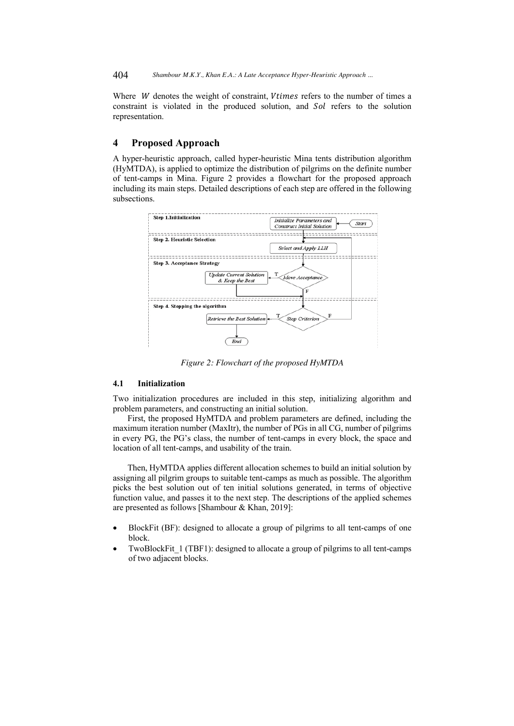Where  $W$  denotes the weight of constraint,  $V$ times refers to the number of times a constraint is violated in the produced solution, and *Sol* refers to the solution representation.

### **4 Proposed Approach**

A hyper-heuristic approach, called hyper-heuristic Mina tents distribution algorithm (HyMTDA), is applied to optimize the distribution of pilgrims on the definite number of tent-camps in Mina. Figure 2 provides a flowchart for the proposed approach including its main steps. Detailed descriptions of each step are offered in the following subsections.



*Figure 2: Flowchart of the proposed HyMTDA*

### **4.1 Initialization**

Two initialization procedures are included in this step, initializing algorithm and problem parameters, and constructing an initial solution.

First, the proposed HyMTDA and problem parameters are defined, including the maximum iteration number (MaxItr), the number of PGs in all CG, number of pilgrims in every PG, the PG's class, the number of tent-camps in every block, the space and location of all tent-camps, and usability of the train.

Then, HyMTDA applies different allocation schemes to build an initial solution by assigning all pilgrim groups to suitable tent-camps as much as possible. The algorithm picks the best solution out of ten initial solutions generated, in terms of objective function value, and passes it to the next step. The descriptions of the applied schemes are presented as follows [Shambour & Khan, 2019]:

- BlockFit (BF): designed to allocate a group of pilgrims to all tent-camps of one block.
- TwoBlockFit 1 (TBF1): designed to allocate a group of pilgrims to all tent-camps of two adjacent blocks.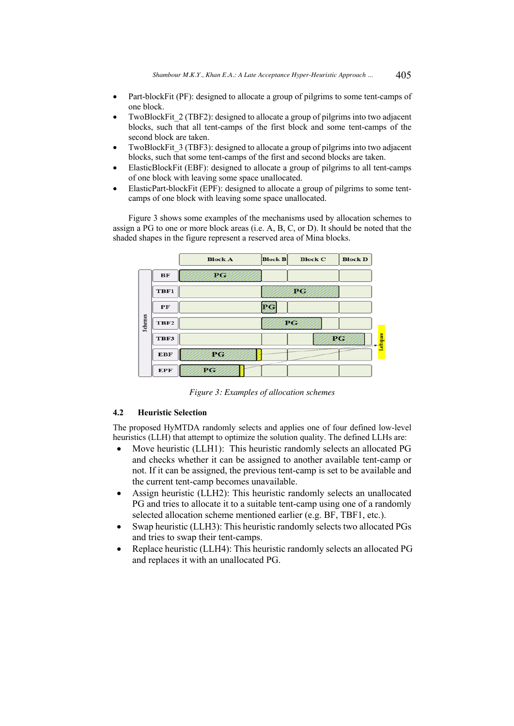- Part-blockFit (PF): designed to allocate a group of pilgrims to some tent-camps of one block.
- TwoBlockFit 2 (TBF2): designed to allocate a group of pilgrims into two adjacent blocks, such that all tent-camps of the first block and some tent-camps of the second block are taken.
- TwoBlockFit 3 (TBF3): designed to allocate a group of pilgrims into two adjacent blocks, such that some tent-camps of the first and second blocks are taken.
- ElasticBlockFit (EBF): designed to allocate a group of pilgrims to all tent-camps of one block with leaving some space unallocated.
- ElasticPart-blockFit (EPF): designed to allocate a group of pilgrims to some tentcamps of one block with leaving some space unallocated.

Figure 3 shows some examples of the mechanisms used by allocation schemes to assign a PG to one or more block areas (i.e. A, B, C, or D). It should be noted that the shaded shapes in the figure represent a reserved area of Mina blocks.



*Figure 3: Examples of allocation schemes*

# **4.2 Heuristic Selection**

The proposed HyMTDA randomly selects and applies one of four defined low-level heuristics (LLH) that attempt to optimize the solution quality. The defined LLHs are:

- Move heuristic (LLH1): This heuristic randomly selects an allocated PG and checks whether it can be assigned to another available tent-camp or not. If it can be assigned, the previous tent-camp is set to be available and the current tent-camp becomes unavailable.
- Assign heuristic (LLH2): This heuristic randomly selects an unallocated PG and tries to allocate it to a suitable tent-camp using one of a randomly selected allocation scheme mentioned earlier (e.g. BF, TBF1, etc.).
- Swap heuristic (LLH3): This heuristic randomly selects two allocated PGs and tries to swap their tent-camps.
- Replace heuristic (LLH4): This heuristic randomly selects an allocated PG and replaces it with an unallocated PG.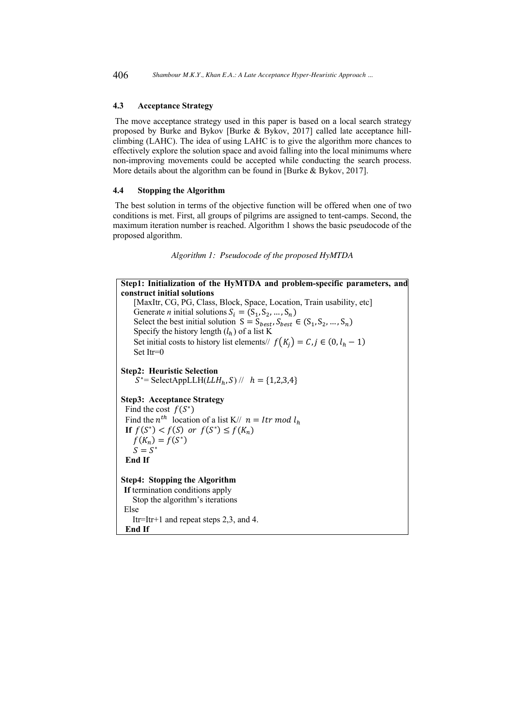#### **4.3 Acceptance Strategy**

The move acceptance strategy used in this paper is based on a local search strategy proposed by Burke and Bykov [Burke & Bykov, 2017] called late acceptance hillclimbing (LAHC). The idea of using LAHC is to give the algorithm more chances to effectively explore the solution space and avoid falling into the local minimums where non-improving movements could be accepted while conducting the search process. More details about the algorithm can be found in [Burke & Bykov, 2017].

#### **4.4 Stopping the Algorithm**

The best solution in terms of the objective function will be offered when one of two conditions is met. First, all groups of pilgrims are assigned to tent-camps. Second, the maximum iteration number is reached. Algorithm 1 shows the basic pseudocode of the proposed algorithm.

```
Algorithm 1: Pseudocode of the proposed HyMTDA
```

```
Step1: Initialization of the HyMTDA and problem-specific parameters, and
construct initial solutions 
    [MaxItr, CG, PG, Class, Block, Space, Location, Train usability, etc]
    Generate n initial solutions S_i = (S_1, S_2, ..., S_n)Select the best initial solution S = S_{best}, S_{best} \in (S_1, S_2, ..., S_n)Specify the history length (l_h) of a list K
    Set initial costs to history list elements// f(K_i) = C, j \in (0, l_h - 1)Set Itr=0
Step2: Heuristic Selection
    S^*= SelectAppLLH(LLH_h, S) // h = \{1,2,3,4\}Step3: Acceptance Strategy
 Find the cost f(S^*)Find the n^{th} location of a list K// n = Itr \mod l_hIf f(S^*) < f(S) or f(S^*) \leq f(K_n)f(K_n) = f(S^*)S = S^* End If
Step4: Stopping the Algorithm
If termination conditions apply
    Stop the algorithm's iterations 
Else 
    Itr=Itr+1 and repeat steps 2,3, and 4. 
  End If
```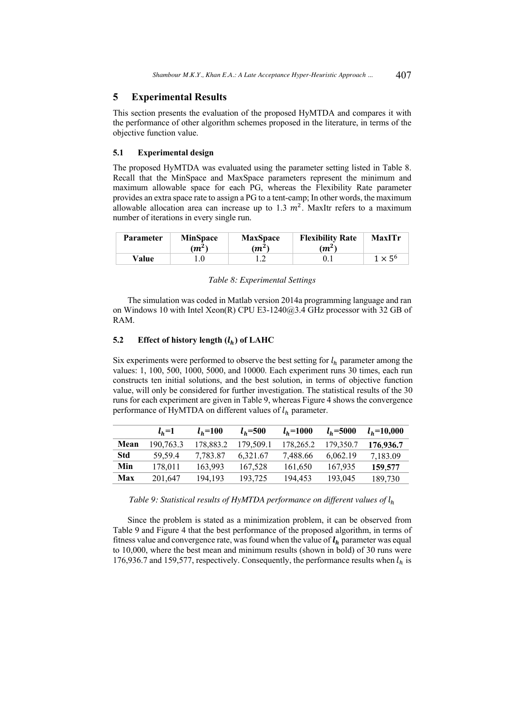# **5 Experimental Results**

This section presents the evaluation of the proposed HyMTDA and compares it with the performance of other algorithm schemes proposed in the literature, in terms of the objective function value.

#### **5.1 Experimental design**

The proposed HyMTDA was evaluated using the parameter setting listed in Table 8. Recall that the MinSpace and MaxSpace parameters represent the minimum and maximum allowable space for each PG, whereas the Flexibility Rate parameter provides an extra space rate to assign a PG to a tent-camp; In other words, the maximum allowable allocation area can increase up to 1.3  $m^2$ . MaxItr refers to a maximum number of iterations in every single run.

| <b>Parameter</b> | <b>MinSpace</b><br>$(m^2)$ | <b>MaxSpace</b><br>$(m^2)$ | <b>Flexibility Rate</b><br>$(m^2)$ | MaxITr         |
|------------------|----------------------------|----------------------------|------------------------------------|----------------|
| Value            |                            |                            |                                    | $1 \times 5^6$ |

#### *Table 8: Experimental Settings*

The simulation was coded in Matlab version 2014a programming language and ran on Windows 10 with Intel Xeon(R) CPU E3-1240@3.4 GHz processor with 32 GB of RAM.

#### **5.2 Effect of history length**  $(l_h)$  **of LAHC**

Six experiments were performed to observe the best setting for  $l_h$  parameter among the values: 1, 100, 500, 1000, 5000, and 10000. Each experiment runs 30 times, each run constructs ten initial solutions, and the best solution, in terms of objective function value, will only be considered for further investigation. The statistical results of the 30 runs for each experiment are given in Table 9, whereas Figure 4 shows the convergence performance of HyMTDA on different values of  $l_h$  parameter.

|            | $l_{h}$ =1 | $l_{h}$ =100 | $l_{h} = 500$ | $l_{h} = 1000$ | $l_{h}$ =5000 | $l_{h} = 10,000$ |
|------------|------------|--------------|---------------|----------------|---------------|------------------|
| Mean       | 190,763.3  | 178,883.2    | 179,509.1     | 178,265.2      | 179,350.7     | 176.936.7        |
| <b>Std</b> | 59.59.4    | 7.783.87     | 6.321.67      | 7.488.66       | 6.062.19      | 7,183.09         |
| Min        | 178.011    | 163,993      | 167,528       | 161,650        | 167,935       | 159.577          |
| Max        | 201,647    | 194.193      | 193,725       | 194.453        | 193,045       | 189,730          |

### *Table 9: Statistical results of HyMTDA performance on different values of*  $l_h$

Since the problem is stated as a minimization problem, it can be observed from Table 9 and Figure 4 that the best performance of the proposed algorithm, in terms of fitness value and convergence rate, was found when the value of  $l_h$  parameter was equal to 10,000, where the best mean and minimum results (shown in bold) of 30 runs were 176,936.7 and 159,577, respectively. Consequently, the performance results when  $l_h$  is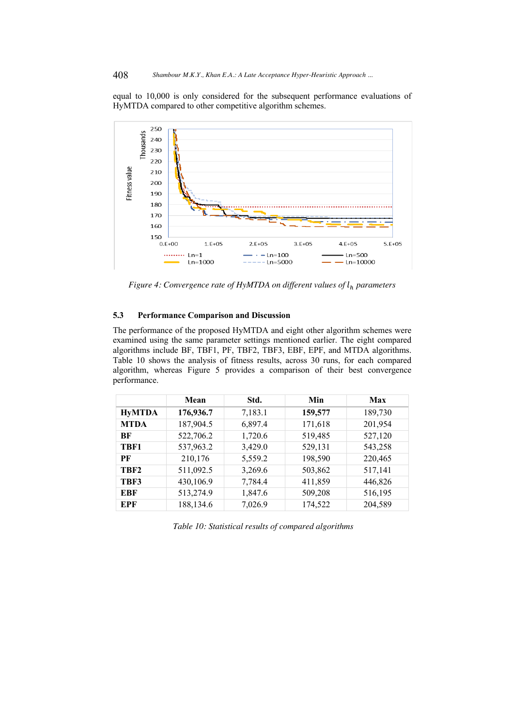equal to 10,000 is only considered for the subsequent performance evaluations of HyMTDA compared to other competitive algorithm schemes.



*Figure 4: Convergence rate of HyMTDA on different values of*  $l_h$  *parameters* 

# **5.3 Performance Comparison and Discussion**

The performance of the proposed HyMTDA and eight other algorithm schemes were examined using the same parameter settings mentioned earlier. The eight compared algorithms include BF, TBF1, PF, TBF2, TBF3, EBF, EPF, and MTDA algorithms. Table 10 shows the analysis of fitness results, across 30 runs, for each compared algorithm, whereas Figure 5 provides a comparison of their best convergence performance.

|                  | Mean      | Std.    | Min     | Max     |
|------------------|-----------|---------|---------|---------|
| <b>HyMTDA</b>    | 176,936.7 | 7,183.1 | 159,577 | 189,730 |
| <b>MTDA</b>      | 187,904.5 | 6,897.4 | 171,618 | 201,954 |
| <b>BF</b>        | 522,706.2 | 1,720.6 | 519,485 | 527,120 |
| TBF1             | 537,963.2 | 3,429.0 | 529,131 | 543,258 |
| PF               | 210,176   | 5,559.2 | 198,590 | 220,465 |
| TBF <sub>2</sub> | 511,092.5 | 3,269.6 | 503,862 | 517,141 |
| TBF3             | 430,106.9 | 7,784.4 | 411,859 | 446,826 |
| EBF              | 513,274.9 | 1,847.6 | 509,208 | 516,195 |
| EPF              | 188,134.6 | 7,026.9 | 174,522 | 204,589 |

*Table 10: Statistical results of compared algorithms*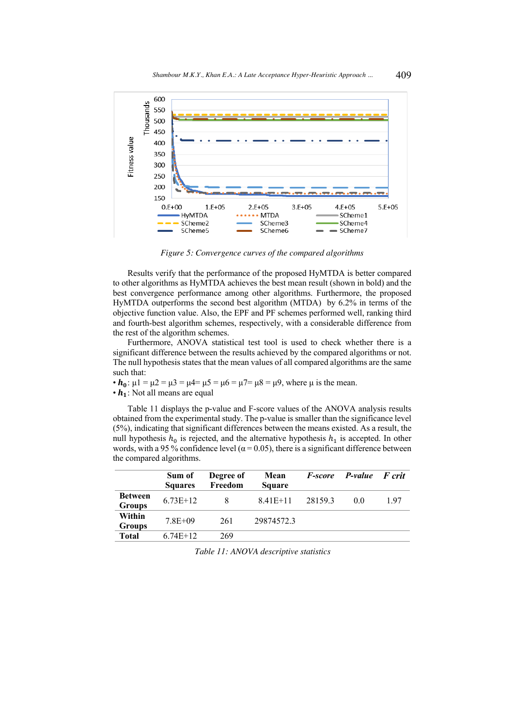

*Figure 5: Convergence curves of the compared algorithms*

Results verify that the performance of the proposed HyMTDA is better compared to other algorithms as HyMTDA achieves the best mean result (shown in bold) and the best convergence performance among other algorithms. Furthermore, the proposed HyMTDA outperforms the second best algorithm (MTDA) by 6.2% in terms of the objective function value. Also, the EPF and PF schemes performed well, ranking third and fourth-best algorithm schemes, respectively, with a considerable difference from the rest of the algorithm schemes.

Furthermore, ANOVA statistical test tool is used to check whether there is a significant difference between the results achieved by the compared algorithms or not. The null hypothesis states that the mean values of all compared algorithms are the same such that:

•  $h_0$ :  $\mu$ 1 =  $\mu$ 2 =  $\mu$ 3 =  $\mu$ 4 =  $\mu$ 5 =  $\mu$ 6 =  $\mu$ 7 =  $\mu$ 8 =  $\mu$ 9, where  $\mu$  is the mean.

 $\cdot h_1$ : Not all means are equal

Table 11 displays the p-value and F-score values of the ANOVA analysis results obtained from the experimental study. The p-value is smaller than the significance level (5%), indicating that significant differences between the means existed. As a result, the null hypothesis  $h_0$  is rejected, and the alternative hypothesis  $h_1$  is accepted. In other words, with a 95 % confidence level ( $\alpha$  = 0.05), there is a significant difference between the compared algorithms.

|                                 | Sum of<br><b>Squares</b> | Degree of<br>Freedom | Mean<br><b>Square</b> | <i>F-score</i> | <b>P-value</b> | <b>F</b> crit |
|---------------------------------|--------------------------|----------------------|-----------------------|----------------|----------------|---------------|
| <b>Between</b><br><b>Groups</b> | $6.73E+12$               | 8                    | $8.41E+11$            | 28159.3        | 00             | 1.97          |
| Within                          | $7.8E + 09$              | 261                  | 29874572.3            |                |                |               |
| <b>Groups</b>                   |                          |                      |                       |                |                |               |
| <b>Total</b>                    | $6.74E+12$               | 269                  |                       |                |                |               |

*Table 11: ANOVA descriptive statistics*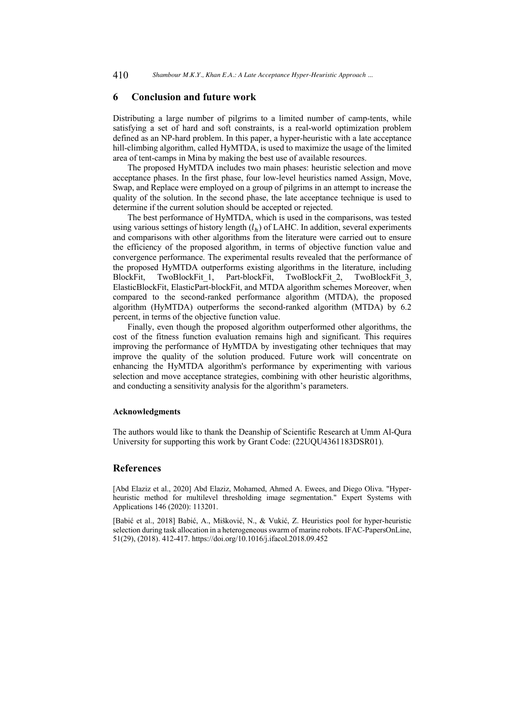### **6 Conclusion and future work**

Distributing a large number of pilgrims to a limited number of camp-tents, while satisfying a set of hard and soft constraints, is a real-world optimization problem defined as an NP-hard problem. In this paper, a hyper-heuristic with a late acceptance hill-climbing algorithm, called HyMTDA, is used to maximize the usage of the limited area of tent-camps in Mina by making the best use of available resources.

The proposed HyMTDA includes two main phases: heuristic selection and move acceptance phases. In the first phase, four low-level heuristics named Assign, Move, Swap, and Replace were employed on a group of pilgrims in an attempt to increase the quality of the solution. In the second phase, the late acceptance technique is used to determine if the current solution should be accepted or rejected.

The best performance of HyMTDA, which is used in the comparisons, was tested using various settings of history length  $(l_h)$  of LAHC. In addition, several experiments and comparisons with other algorithms from the literature were carried out to ensure the efficiency of the proposed algorithm, in terms of objective function value and convergence performance. The experimental results revealed that the performance of the proposed HyMTDA outperforms existing algorithms in the literature, including BlockFit, TwoBlockFit 1, Part-blockFit, TwoBlockFit 2, TwoBlockFit 3, ElasticBlockFit, ElasticPart-blockFit, and MTDA algorithm schemes Moreover, when compared to the second-ranked performance algorithm (MTDA), the proposed algorithm (HyMTDA) outperforms the second-ranked algorithm (MTDA) by 6.2 percent, in terms of the objective function value.

Finally, even though the proposed algorithm outperformed other algorithms, the cost of the fitness function evaluation remains high and significant. This requires improving the performance of HyMTDA by investigating other techniques that may improve the quality of the solution produced. Future work will concentrate on enhancing the HyMTDA algorithm's performance by experimenting with various selection and move acceptance strategies, combining with other heuristic algorithms, and conducting a sensitivity analysis for the algorithm's parameters.

#### **Acknowledgments**

The authors would like to thank the Deanship of Scientific Research at Umm Al-Qura University for supporting this work by Grant Code: (22UQU4361183DSR01).

### **References**

[Abd Elaziz et al., 2020] Abd Elaziz, Mohamed, Ahmed A. Ewees, and Diego Oliva. "Hyperheuristic method for multilevel thresholding image segmentation." Expert Systems with Applications 146 (2020): 113201.

[Babić et al., 2018] Babić, A., Mišković, N., & Vukić, Z. Heuristics pool for hyper-heuristic selection during task allocation in a heterogeneous swarm of marine robots. IFAC-PapersOnLine, 51(29), (2018). 412-417. https://doi.org/10.1016/j.ifacol.2018.09.452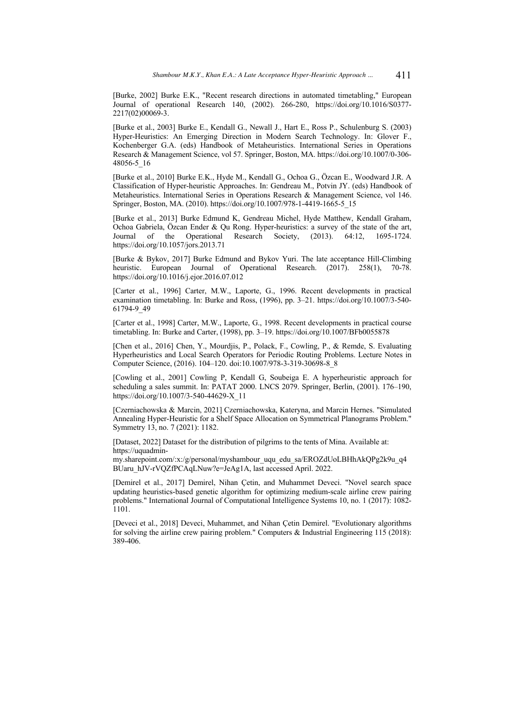[Burke, 2002] Burke E.K., "Recent research directions in automated timetabling," European Journal of operational Research 140, (2002). 266-280, https://doi.org/10.1016/S0377- 2217(02)00069-3.

[Burke et al., 2003] Burke E., Kendall G., Newall J., Hart E., Ross P., Schulenburg S. (2003) Hyper-Heuristics: An Emerging Direction in Modern Search Technology. In: Glover F., Kochenberger G.A. (eds) Handbook of Metaheuristics. International Series in Operations Research & Management Science, vol 57. Springer, Boston, MA. https://doi.org/10.1007/0-306- 48056-5\_16

[Burke et al., 2010] Burke E.K., Hyde M., Kendall G., Ochoa G., Özcan E., Woodward J.R. A Classification of Hyper-heuristic Approaches. In: Gendreau M., Potvin JY. (eds) Handbook of Metaheuristics. International Series in Operations Research & Management Science, vol 146. Springer, Boston, MA. (2010). https://doi.org/10.1007/978-1-4419-1665-5\_15

[Burke et al., 2013] Burke Edmund K, Gendreau Michel, Hyde Matthew, Kendall Graham, Ochoa Gabriela, Özcan Ender & Qu Rong. Hyper-heuristics: a survey of the state of the art, Journal of the Operational Research Society, (2013). 64:12, 1695-1724. Research Society, (2013). 64:12, 1695-1724. https://doi.org/10.1057/jors.2013.71

[Burke & Bykov, 2017] Burke Edmund and Bykov Yuri. The late acceptance Hill-Climbing heuristic. European Journal of Operational Research. (2017). 258(1), 70-78. https://doi.org/10.1016/j.ejor.2016.07.012

[Carter et al., 1996] Carter, M.W., Laporte, G., 1996. Recent developments in practical examination timetabling. In: Burke and Ross, (1996), pp. 3–21. https://doi.org/10.1007/3-540- 61794-9\_49

[Carter et al., 1998] Carter, M.W., Laporte, G., 1998. Recent developments in practical course timetabling. In: Burke and Carter, (1998), pp. 3–19. https://doi.org/10.1007/BFb0055878

[Chen et al., 2016] Chen, Y., Mourdjis, P., Polack, F., Cowling, P., & Remde, S. Evaluating Hyperheuristics and Local Search Operators for Periodic Routing Problems. Lecture Notes in Computer Science, (2016). 104–120. doi:10.1007/978-3-319-30698-8\_8

[Cowling et al., 2001] Cowling P, Kendall G, Soubeiga E. A hyperheuristic approach for scheduling a sales summit. In: PATAT 2000. LNCS 2079. Springer, Berlin, (2001). 176–190, https://doi.org/10.1007/3-540-44629-X\_11

[Czerniachowska & Marcin, 2021] Czerniachowska, Kateryna, and Marcin Hernes. "Simulated Annealing Hyper-Heuristic for a Shelf Space Allocation on Symmetrical Planograms Problem." Symmetry 13, no. 7 (2021): 1182.

[Dataset, 2022] Dataset for the distribution of pilgrims to the tents of Mina. Available at: https://uquadmin-

my.sharepoint.com/:x:/g/personal/myshambour\_uqu\_edu\_sa/EROZdUoLBHhAkQPg2k9u\_q4 BUaru\_hJV-rVQZfPCAqLNuw?e=JeAg1A, last accessed April. 2022.

[Demirel et al., 2017] Demirel, Nihan Çetin, and Muhammet Deveci. "Novel search space updating heuristics-based genetic algorithm for optimizing medium-scale airline crew pairing problems." International Journal of Computational Intelligence Systems 10, no. 1 (2017): 1082- 1101.

[Deveci et al., 2018] Deveci, Muhammet, and Nihan Çetin Demirel. "Evolutionary algorithms for solving the airline crew pairing problem." Computers & Industrial Engineering 115 (2018): 389-406.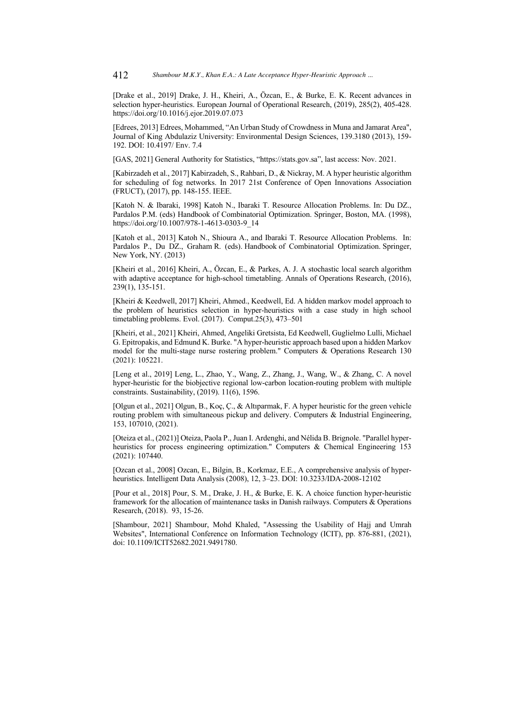[Drake et al., 2019] Drake, J. H., Kheiri, A., Özcan, E., & Burke, E. K. Recent advances in selection hyper-heuristics. European Journal of Operational Research, (2019), 285(2), 405-428. https://doi.org/10.1016/j.ejor.2019.07.073

[Edrees, 2013] Edrees, Mohammed, "An Urban Study of Crowdness in Muna and Jamarat Area", Journal of King Abdulaziz University: Environmental Design Sciences, 139.3180 (2013), 159- 192. DOI: 10.4197/ Env. 7.4

[GAS, 2021] General Authority for Statistics, "https://stats.gov.sa", last access: Nov. 2021.

[Kabirzadeh et al., 2017] Kabirzadeh, S., Rahbari, D., & Nickray, M. A hyper heuristic algorithm for scheduling of fog networks. In 2017 21st Conference of Open Innovations Association (FRUCT), (2017), pp. 148-155. IEEE.

[Katoh N. & Ibaraki, 1998] Katoh N., Ibaraki T. Resource Allocation Problems. In: Du DZ., Pardalos P.M. (eds) Handbook of Combinatorial Optimization. Springer, Boston, MA. (1998), https://doi.org/10.1007/978-1-4613-0303-9\_14

[Katoh et al., 2013] Katoh N., Shioura A., and Ibaraki T. Resource Allocation Problems. In: Pardalos P., Du DZ., Graham R. (eds). Handbook of Combinatorial Optimization. Springer, New York, NY. (2013)

[Kheiri et al., 2016] Kheiri, A., Özcan, E., & Parkes, A. J. A stochastic local search algorithm with adaptive acceptance for high-school timetabling. Annals of Operations Research, (2016), 239(1), 135-151.

[Kheiri & Keedwell, 2017] Kheiri, Ahmed., Keedwell, Ed. A hidden markov model approach to the problem of heuristics selection in hyper-heuristics with a case study in high school timetabling problems. Evol. (2017). Comput.25(3), 473–501

[Kheiri, et al., 2021] Kheiri, Ahmed, Angeliki Gretsista, Ed Keedwell, Guglielmo Lulli, Michael G. Epitropakis, and Edmund K. Burke. "A hyper-heuristic approach based upon a hidden Markov model for the multi-stage nurse rostering problem." Computers & Operations Research 130 (2021): 105221.

[Leng et al., 2019] Leng, L., Zhao, Y., Wang, Z., Zhang, J., Wang, W., & Zhang, C. A novel hyper-heuristic for the biobjective regional low-carbon location-routing problem with multiple constraints. Sustainability, (2019). 11(6), 1596.

[Olgun et al., 2021] Olgun, B., Koç, Ç., & Altıparmak, F. A hyper heuristic for the green vehicle routing problem with simultaneous pickup and delivery. Computers & Industrial Engineering, 153, 107010, (2021).

[Oteiza et al., (2021)] Oteiza, Paola P., Juan I. Ardenghi, and Nélida B. Brignole. "Parallel hyperheuristics for process engineering optimization." Computers & Chemical Engineering 153 (2021): 107440.

[Ozcan et al., 2008] Ozcan, E., Bilgin, B., Korkmaz, E.E., A comprehensive analysis of hyperheuristics. Intelligent Data Analysis (2008), 12, 3–23. DOI: 10.3233/IDA-2008-12102

[Pour et al., 2018] Pour, S. M., Drake, J. H., & Burke, E. K. A choice function hyper-heuristic framework for the allocation of maintenance tasks in Danish railways. Computers & Operations Research, (2018). 93, 15-26.

[Shambour, 2021] Shambour, Mohd Khaled, "Assessing the Usability of Hajj and Umrah Websites", International Conference on Information Technology (ICIT), pp. 876-881, (2021), doi: 10.1109/ICIT52682.2021.9491780.